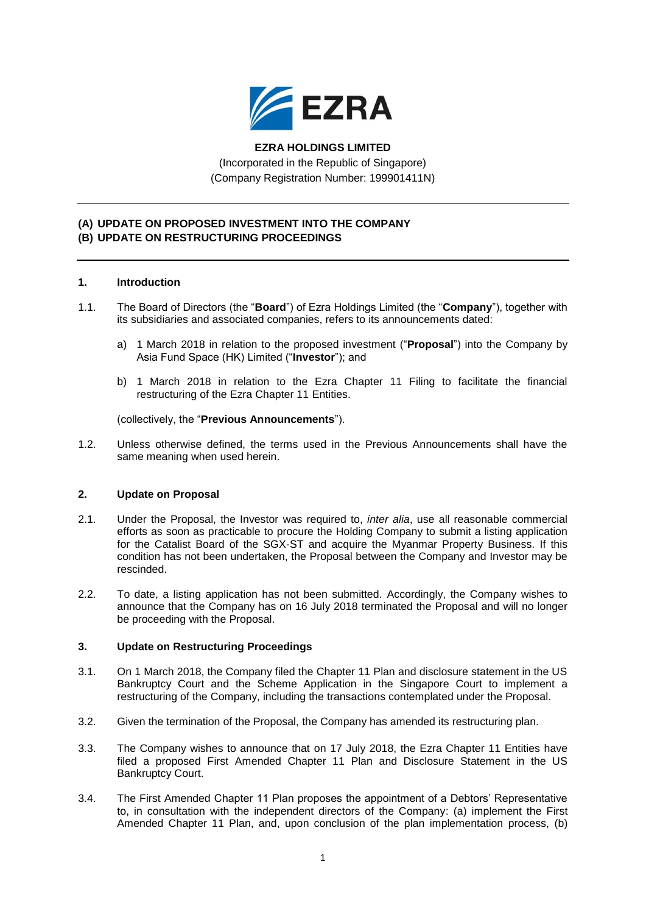

# **EZRA HOLDINGS LIMITED**

(Incorporated in the Republic of Singapore) (Company Registration Number: 199901411N)

### **(A) UPDATE ON PROPOSED INVESTMENT INTO THE COMPANY (B) UPDATE ON RESTRUCTURING PROCEEDINGS**

### **1. Introduction**

- 1.1. The Board of Directors (the "**Board**") of Ezra Holdings Limited (the "**Company**"), together with its subsidiaries and associated companies, refers to its announcements dated:
	- a) 1 March 2018 in relation to the proposed investment ("**Proposal**") into the Company by Asia Fund Space (HK) Limited ("**Investor**"); and
	- b) 1 March 2018 in relation to the Ezra Chapter 11 Filing to facilitate the financial restructuring of the Ezra Chapter 11 Entities.

(collectively, the "**Previous Announcements**").

1.2. Unless otherwise defined, the terms used in the Previous Announcements shall have the same meaning when used herein.

#### **2. Update on Proposal**

- 2.1. Under the Proposal, the Investor was required to, *inter alia*, use all reasonable commercial efforts as soon as practicable to procure the Holding Company to submit a listing application for the Catalist Board of the SGX-ST and acquire the Myanmar Property Business. If this condition has not been undertaken, the Proposal between the Company and Investor may be rescinded.
- 2.2. To date, a listing application has not been submitted. Accordingly, the Company wishes to announce that the Company has on 16 July 2018 terminated the Proposal and will no longer be proceeding with the Proposal.

# **3. Update on Restructuring Proceedings**

- 3.1. On 1 March 2018, the Company filed the Chapter 11 Plan and disclosure statement in the US Bankruptcy Court and the Scheme Application in the Singapore Court to implement a restructuring of the Company, including the transactions contemplated under the Proposal.
- 3.2. Given the termination of the Proposal, the Company has amended its restructuring plan.
- 3.3. The Company wishes to announce that on 17 July 2018, the Ezra Chapter 11 Entities have filed a proposed First Amended Chapter 11 Plan and Disclosure Statement in the US Bankruptcy Court.
- 3.4. The First Amended Chapter 11 Plan proposes the appointment of a Debtors' Representative to, in consultation with the independent directors of the Company: (a) implement the First Amended Chapter 11 Plan, and, upon conclusion of the plan implementation process, (b)